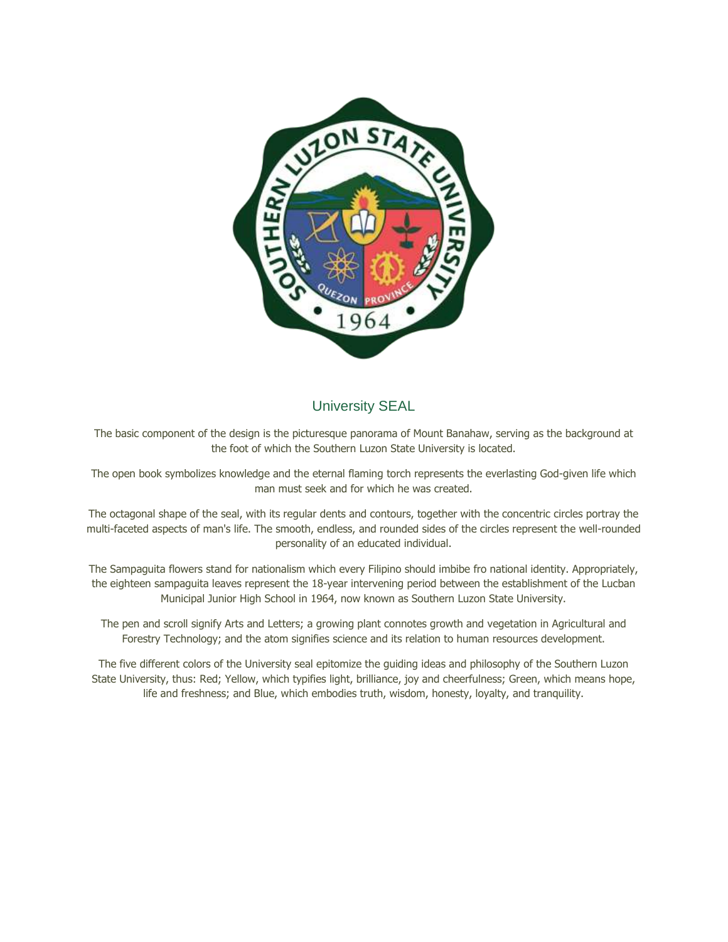

# University SEAL

The basic component of the design is the picturesque panorama of Mount Banahaw, serving as the background at the foot of which the Southern Luzon State University is located.

The open book symbolizes knowledge and the eternal flaming torch represents the everlasting God-given life which man must seek and for which he was created.

The octagonal shape of the seal, with its regular dents and contours, together with the concentric circles portray the multi-faceted aspects of man's life. The smooth, endless, and rounded sides of the circles represent the well-rounded personality of an educated individual.

The Sampaguita flowers stand for nationalism which every Filipino should imbibe fro national identity. Appropriately, the eighteen sampaguita leaves represent the 18-year intervening period between the establishment of the Lucban Municipal Junior High School in 1964, now known as Southern Luzon State University.

The pen and scroll signify Arts and Letters; a growing plant connotes growth and vegetation in Agricultural and Forestry Technology; and the atom signifies science and its relation to human resources development.

The five different colors of the University seal epitomize the guiding ideas and philosophy of the Southern Luzon State University, thus: Red; Yellow, which typifies light, brilliance, joy and cheerfulness; Green, which means hope, life and freshness; and Blue, which embodies truth, wisdom, honesty, loyalty, and tranquility.